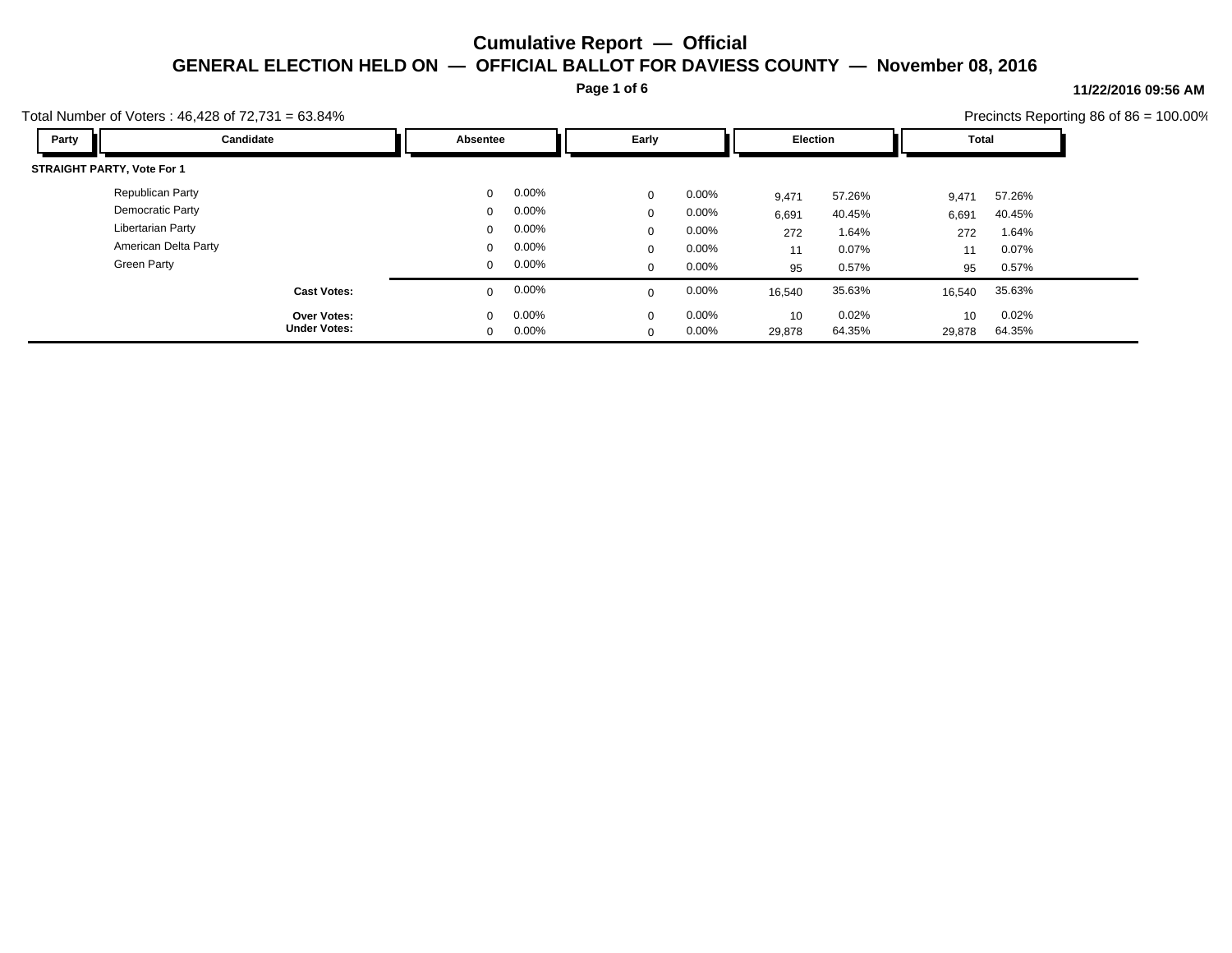**Page 1 of 6**

#### **11/22/2016 09:56 AM**

| Total Number of Voters: $46,428$ of $72,731 = 63.84\%$ |                          |                         |                  |                          | Precincts Reporting 86 of $86 = 100.00\%$ |
|--------------------------------------------------------|--------------------------|-------------------------|------------------|--------------------------|-------------------------------------------|
| Candidate<br>Party                                     | Absentee                 | Early                   | <b>Election</b>  | <b>Total</b>             |                                           |
| <b>STRAIGHT PARTY, Vote For 1</b>                      |                          |                         |                  |                          |                                           |
| Republican Party                                       | 0.00%<br>$\mathbf{0}$    | $0.00\%$<br>$\mathbf 0$ | 57.26%<br>9,471  | 57.26%<br>9,471          |                                           |
| Democratic Party                                       | 0.00%<br>$\mathbf{0}$    | $0.00\%$<br>$\Omega$    | 40.45%<br>6,691  | 40.45%<br>6,691          |                                           |
| <b>Libertarian Party</b>                               | $0.00\%$<br>$\mathbf{0}$ | $0.00\%$<br>$\mathbf 0$ | 1.64%<br>272     | 1.64%<br>272             |                                           |
| American Delta Party                                   | 0.00%<br>$\mathbf{0}$    | $0.00\%$<br>$\mathbf 0$ | 0.07%<br>11      | 0.07%<br>11              |                                           |
| <b>Green Party</b>                                     | 0.00%<br>$\mathbf 0$     | $0.00\%$<br>$\mathbf 0$ | 0.57%<br>95      | 0.57%<br>95              |                                           |
| <b>Cast Votes:</b>                                     | 0.00%<br>$\mathbf 0$     | 0.00%<br>$\Omega$       | 35.63%<br>16,540 | 35.63%<br>16,540         |                                           |
| <b>Over Votes:</b>                                     | $0.00\%$<br>$\Omega$     | 0.00%<br>$\Omega$       | 0.02%<br>10      | 0.02%<br>10 <sup>°</sup> |                                           |
| <b>Under Votes:</b>                                    | 0.00%<br>$\mathbf{0}$    | $0.00\%$<br>$\Omega$    | 64.35%<br>29,878 | 64.35%<br>29,878         |                                           |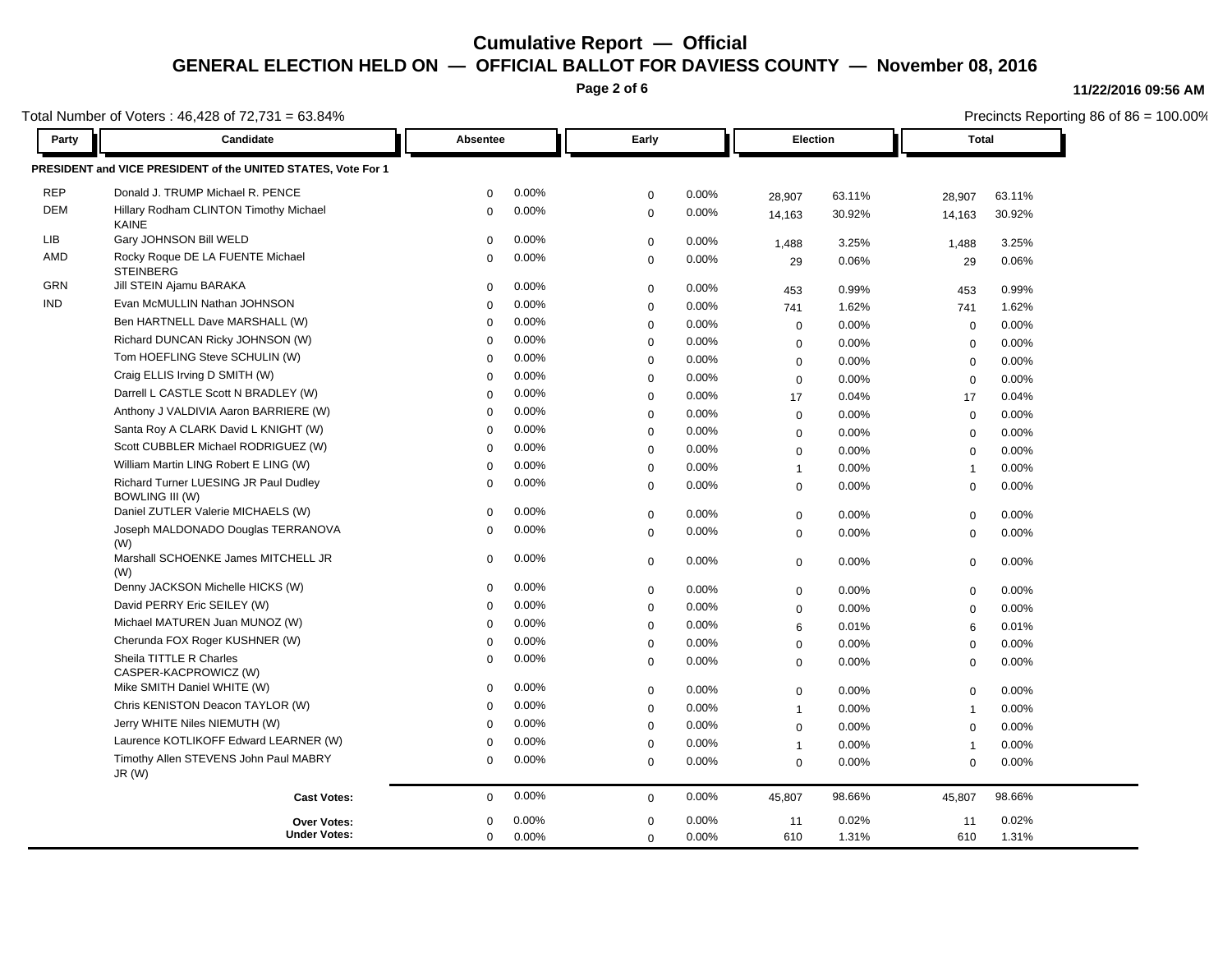**Page 2 of 6**

### **11/22/2016 09:56 AM**

|            | Total Number of Voters: 46,428 of 72,731 = 63.84%               |             |                   |             |       | Precincts Reporting 86 of 86 = 100.00% |        |                |        |  |
|------------|-----------------------------------------------------------------|-------------|-------------------|-------------|-------|----------------------------------------|--------|----------------|--------|--|
| Party      | <b>Candidate</b>                                                |             | Early<br>Absentee |             |       | <b>Election</b>                        |        | Total          |        |  |
|            | PRESIDENT and VICE PRESIDENT of the UNITED STATES, Vote For 1   |             |                   |             |       |                                        |        |                |        |  |
| <b>REP</b> | Donald J. TRUMP Michael R. PENCE                                | $\Omega$    | 0.00%             | $\mathbf 0$ | 0.00% | 28,907                                 | 63.11% | 28,907         | 63.11% |  |
| <b>DEM</b> | Hillary Rodham CLINTON Timothy Michael<br><b>KAINE</b>          | $\mathbf 0$ | 0.00%             | $\mathbf 0$ | 0.00% | 14,163                                 | 30.92% | 14,163         | 30.92% |  |
| LIB        | Gary JOHNSON Bill WELD                                          | $\Omega$    | 0.00%             | $\mathbf 0$ | 0.00% | 1,488                                  | 3.25%  | 1,488          | 3.25%  |  |
| AMD        | Rocky Roque DE LA FUENTE Michael<br><b>STEINBERG</b>            | 0           | 0.00%             | $\mathbf 0$ | 0.00% | 29                                     | 0.06%  | 29             | 0.06%  |  |
| GRN        | Jill STEIN Ajamu BARAKA                                         | $\mathbf 0$ | 0.00%             | $\mathbf 0$ | 0.00% | 453                                    | 0.99%  | 453            | 0.99%  |  |
| <b>IND</b> | Evan McMULLIN Nathan JOHNSON                                    | $\Omega$    | 0.00%             | $\mathbf 0$ | 0.00% | 741                                    | 1.62%  | 741            | 1.62%  |  |
|            | Ben HARTNELL Dave MARSHALL (W)                                  | $\Omega$    | 0.00%             | $\Omega$    | 0.00% | $\mathbf 0$                            | 0.00%  | $\mathbf 0$    | 0.00%  |  |
|            | Richard DUNCAN Ricky JOHNSON (W)                                | $\Omega$    | 0.00%             | $\mathbf 0$ | 0.00% | $\mathbf 0$                            | 0.00%  | $\mathbf 0$    | 0.00%  |  |
|            | Tom HOEFLING Steve SCHULIN (W)                                  | $\Omega$    | 0.00%             | $\Omega$    | 0.00% | $\mathbf 0$                            | 0.00%  | $\mathbf 0$    | 0.00%  |  |
|            | Craig ELLIS Irving D SMITH (W)                                  | $\Omega$    | 0.00%             | $\mathbf 0$ | 0.00% | $\mathbf 0$                            | 0.00%  | $\mathbf 0$    | 0.00%  |  |
|            | Darrell L CASTLE Scott N BRADLEY (W)                            | $\Omega$    | 0.00%             | $\mathbf 0$ | 0.00% | 17                                     | 0.04%  | 17             | 0.04%  |  |
|            | Anthony J VALDIVIA Aaron BARRIERE (W)                           | $\Omega$    | 0.00%             | $\mathbf 0$ | 0.00% | $\mathbf 0$                            | 0.00%  | $\mathbf 0$    | 0.00%  |  |
|            | Santa Roy A CLARK David L KNIGHT (W)                            | $\Omega$    | 0.00%             | $\Omega$    | 0.00% | $\mathbf 0$                            | 0.00%  | $\mathbf 0$    | 0.00%  |  |
|            | Scott CUBBLER Michael RODRIGUEZ (W)                             | $\Omega$    | 0.00%             | $\mathbf 0$ | 0.00% | $\mathbf 0$                            | 0.00%  | $\mathbf 0$    | 0.00%  |  |
|            | William Martin LING Robert E LING (W)                           | $\Omega$    | 0.00%             | $\mathbf 0$ | 0.00% | $\mathbf{1}$                           | 0.00%  | $\overline{1}$ | 0.00%  |  |
|            | Richard Turner LUESING JR Paul Dudley<br><b>BOWLING III (W)</b> | $\Omega$    | 0.00%             | $\mathbf 0$ | 0.00% | $\mathbf 0$                            | 0.00%  | $\mathbf 0$    | 0.00%  |  |
|            | Daniel ZUTLER Valerie MICHAELS (W)                              | $\mathbf 0$ | 0.00%             | $\mathbf 0$ | 0.00% | 0                                      | 0.00%  | $\mathbf 0$    | 0.00%  |  |
|            | Joseph MALDONADO Douglas TERRANOVA<br>(W)                       | $\Omega$    | 0.00%             | $\mathbf 0$ | 0.00% | $\mathbf 0$                            | 0.00%  | $\mathbf 0$    | 0.00%  |  |
|            | Marshall SCHOENKE James MITCHELL JR<br>(W)                      | $\mathbf 0$ | 0.00%             | $\mathbf 0$ | 0.00% | $\mathbf 0$                            | 0.00%  | $\Omega$       | 0.00%  |  |
|            | Denny JACKSON Michelle HICKS (W)                                | 0           | 0.00%             | $\mathbf 0$ | 0.00% | $\mathbf 0$                            | 0.00%  | $\mathbf 0$    | 0.00%  |  |
|            | David PERRY Eric SEILEY (W)                                     | $\Omega$    | 0.00%             | $\mathbf 0$ | 0.00% | $\mathsf 0$                            | 0.00%  | $\mathbf 0$    | 0.00%  |  |
|            | Michael MATUREN Juan MUNOZ (W)                                  | $\Omega$    | 0.00%             | $\mathbf 0$ | 0.00% | 6                                      | 0.01%  | 6              | 0.01%  |  |
|            | Cherunda FOX Roger KUSHNER (W)                                  | $\Omega$    | 0.00%             | $\mathbf 0$ | 0.00% | $\mathbf 0$                            | 0.00%  | $\mathbf 0$    | 0.00%  |  |
|            | Sheila TITTLE R Charles<br>CASPER-KACPROWICZ (W)                | 0           | 0.00%             | $\Omega$    | 0.00% | 0                                      | 0.00%  | $\mathbf 0$    | 0.00%  |  |
|            | Mike SMITH Daniel WHITE (W)                                     | $\Omega$    | 0.00%             | $\mathbf 0$ | 0.00% | 0                                      | 0.00%  | $\mathbf 0$    | 0.00%  |  |
|            | Chris KENISTON Deacon TAYLOR (W)                                | $\Omega$    | 0.00%             | $\Omega$    | 0.00% | $\mathbf{1}$                           | 0.00%  | $\overline{1}$ | 0.00%  |  |
|            | Jerry WHITE Niles NIEMUTH (W)                                   | $\Omega$    | 0.00%             | $\mathbf 0$ | 0.00% | $\mathbf 0$                            | 0.00%  | $\mathbf 0$    | 0.00%  |  |
|            | Laurence KOTLIKOFF Edward LEARNER (W)                           | $\Omega$    | 0.00%             | $\mathbf 0$ | 0.00% | $\mathbf{1}$                           | 0.00%  | $\overline{1}$ | 0.00%  |  |
|            | Timothy Allen STEVENS John Paul MABRY<br>JR(W)                  | $\Omega$    | 0.00%             | $\Omega$    | 0.00% | $\mathbf 0$                            | 0.00%  | 0              | 0.00%  |  |
|            | <b>Cast Votes:</b>                                              | $\mathbf 0$ | 0.00%             | $\mathbf 0$ | 0.00% | 45,807                                 | 98.66% | 45,807         | 98.66% |  |
|            | <b>Over Votes:</b>                                              | $\Omega$    | 0.00%             | $\Omega$    | 0.00% | 11                                     | 0.02%  | 11             | 0.02%  |  |
|            | <b>Under Votes:</b>                                             | 0           | 0.00%             | $\mathbf 0$ | 0.00% | 610                                    | 1.31%  | 610            | 1.31%  |  |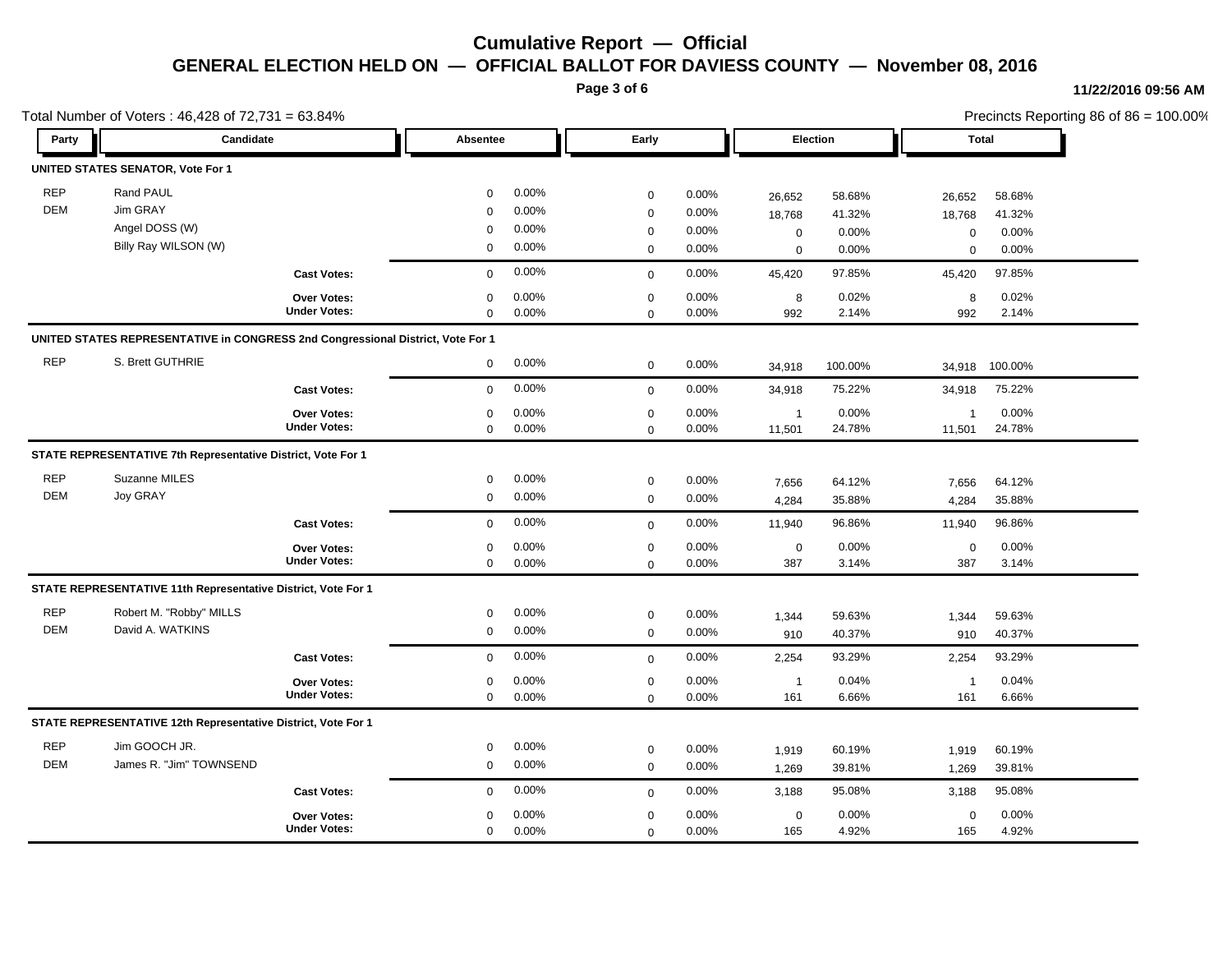**Page 3 of 6**

#### **11/22/2016 09:56 AM**

|                                   | Total Number of Voters: 46,428 of 72,731 = 63.84%                               |                                           |                      |                |                            |                |              |                | Precincts Reporting 86 of 86 = 100.00% |                |  |  |
|-----------------------------------|---------------------------------------------------------------------------------|-------------------------------------------|----------------------|----------------|----------------------------|----------------|--------------|----------------|----------------------------------------|----------------|--|--|
| Party                             | <b>Candidate</b>                                                                |                                           | Absentee             |                | Early                      |                |              | Election       |                                        | Total          |  |  |
| UNITED STATES SENATOR, Vote For 1 |                                                                                 |                                           |                      |                |                            |                |              |                |                                        |                |  |  |
| <b>REP</b><br><b>DEM</b>          | Rand PAUL<br>Jim GRAY                                                           |                                           | 0                    | 0.00%          | $\mathbf 0$                | 0.00%          | 26,652       | 58.68%         | 26,652                                 | 58.68%         |  |  |
|                                   | Angel DOSS (W)                                                                  |                                           | $\Omega$<br>$\Omega$ | 0.00%<br>0.00% | $\mathbf 0$                | 0.00%          | 18,768       | 41.32%         | 18,768                                 | 41.32%         |  |  |
|                                   | Billy Ray WILSON (W)                                                            |                                           | $\mathbf 0$          | 0.00%          | $\mathbf 0$<br>$\mathbf 0$ | 0.00%<br>0.00% | $\mathbf 0$  | 0.00%          | $\pmb{0}$                              | 0.00%          |  |  |
|                                   |                                                                                 |                                           |                      | 0.00%          |                            |                | $\mathsf 0$  | 0.00%          | $\mathbf 0$                            | 0.00%          |  |  |
|                                   |                                                                                 | <b>Cast Votes:</b>                        | $\mathbf 0$          |                | $\mathbf 0$                | 0.00%          | 45,420       | 97.85%         | 45,420                                 | 97.85%         |  |  |
|                                   |                                                                                 | <b>Over Votes:</b><br><b>Under Votes:</b> | 0<br>$\mathbf 0$     | 0.00%<br>0.00% | $\mathbf 0$<br>$\Omega$    | 0.00%<br>0.00% | 8<br>992     | 0.02%<br>2.14% | 8<br>992                               | 0.02%<br>2.14% |  |  |
|                                   | UNITED STATES REPRESENTATIVE in CONGRESS 2nd Congressional District, Vote For 1 |                                           |                      |                |                            |                |              |                |                                        |                |  |  |
| <b>REP</b>                        | S. Brett GUTHRIE                                                                |                                           | $\mathbf 0$          | 0.00%          | $\mathbf 0$                | 0.00%          | 34,918       | 100.00%        | 34,918                                 | 100.00%        |  |  |
|                                   |                                                                                 | <b>Cast Votes:</b>                        | $\mathbf 0$          | 0.00%          | $\mathbf 0$                | 0.00%          | 34,918       | 75.22%         | 34,918                                 | 75.22%         |  |  |
|                                   |                                                                                 | Over Votes:                               | 0                    | 0.00%          | $\mathbf 0$                | 0.00%          | $\mathbf{1}$ | 0.00%          | $\overline{1}$                         | 0.00%          |  |  |
|                                   |                                                                                 | <b>Under Votes:</b>                       | $\mathbf 0$          | 0.00%          | $\Omega$                   | 0.00%          | 11,501       | 24.78%         | 11,501                                 | 24.78%         |  |  |
|                                   | STATE REPRESENTATIVE 7th Representative District, Vote For 1                    |                                           |                      |                |                            |                |              |                |                                        |                |  |  |
| <b>REP</b>                        | Suzanne MILES                                                                   |                                           | 0                    | 0.00%          | $\mathbf 0$                | 0.00%          | 7,656        | 64.12%         | 7,656                                  | 64.12%         |  |  |
| <b>DEM</b>                        | Joy GRAY                                                                        |                                           | $\mathbf 0$          | 0.00%          | $\mathbf 0$                | 0.00%          | 4,284        | 35.88%         | 4,284                                  | 35.88%         |  |  |
|                                   |                                                                                 | <b>Cast Votes:</b>                        | $\mathbf 0$          | 0.00%          | $\mathbf 0$                | 0.00%          | 11,940       | 96.86%         | 11,940                                 | 96.86%         |  |  |
|                                   |                                                                                 | Over Votes:                               | $\mathbf 0$          | 0.00%          | $\mathbf 0$                | 0.00%          | $\mathbf 0$  | 0.00%          | $\mathbf 0$                            | 0.00%          |  |  |
|                                   |                                                                                 | <b>Under Votes:</b>                       | 0                    | 0.00%          | $\mathbf 0$                | 0.00%          | 387          | 3.14%          | 387                                    | 3.14%          |  |  |
|                                   | STATE REPRESENTATIVE 11th Representative District, Vote For 1                   |                                           |                      |                |                            |                |              |                |                                        |                |  |  |
| <b>REP</b>                        | Robert M. "Robby" MILLS                                                         |                                           | 0                    | 0.00%          | $\mathbf 0$                | 0.00%          | 1,344        | 59.63%         | 1,344                                  | 59.63%         |  |  |
| <b>DEM</b>                        | David A. WATKINS                                                                |                                           | 0                    | 0.00%          | $\mathbf 0$                | 0.00%          | 910          | 40.37%         | 910                                    | 40.37%         |  |  |
|                                   |                                                                                 | <b>Cast Votes:</b>                        | $\mathbf 0$          | 0.00%          | $\mathbf 0$                | 0.00%          | 2,254        | 93.29%         | 2,254                                  | 93.29%         |  |  |
|                                   |                                                                                 | Over Votes:                               | 0                    | 0.00%          | $\mathbf 0$                | 0.00%          | $\mathbf{1}$ | 0.04%          | $\overline{1}$                         | 0.04%          |  |  |
|                                   |                                                                                 | <b>Under Votes:</b>                       | $\mathbf 0$          | 0.00%          | $\mathbf 0$                | 0.00%          | 161          | 6.66%          | 161                                    | 6.66%          |  |  |
|                                   | STATE REPRESENTATIVE 12th Representative District, Vote For 1                   |                                           |                      |                |                            |                |              |                |                                        |                |  |  |
| <b>REP</b>                        | Jim GOOCH JR.                                                                   |                                           | 0                    | 0.00%          | $\mathbf 0$                | 0.00%          | 1,919        | 60.19%         | 1,919                                  | 60.19%         |  |  |
| <b>DEM</b>                        | James R. "Jim" TOWNSEND                                                         |                                           | $\mathbf 0$          | 0.00%          | $\mathbf 0$                | 0.00%          | 1,269        | 39.81%         | 1,269                                  | 39.81%         |  |  |
|                                   |                                                                                 | <b>Cast Votes:</b>                        | $\mathbf 0$          | 0.00%          | $\mathbf 0$                | 0.00%          | 3,188        | 95.08%         | 3,188                                  | 95.08%         |  |  |
|                                   |                                                                                 | Over Votes:                               | $\Omega$             | 0.00%          | $\mathbf 0$                | 0.00%          | $\mathbf 0$  | 0.00%          | $\mathbf 0$                            | 0.00%          |  |  |
|                                   |                                                                                 | <b>Under Votes:</b>                       | 0                    | 0.00%          | $\mathbf 0$                | 0.00%          | 165          | 4.92%          | 165                                    | 4.92%          |  |  |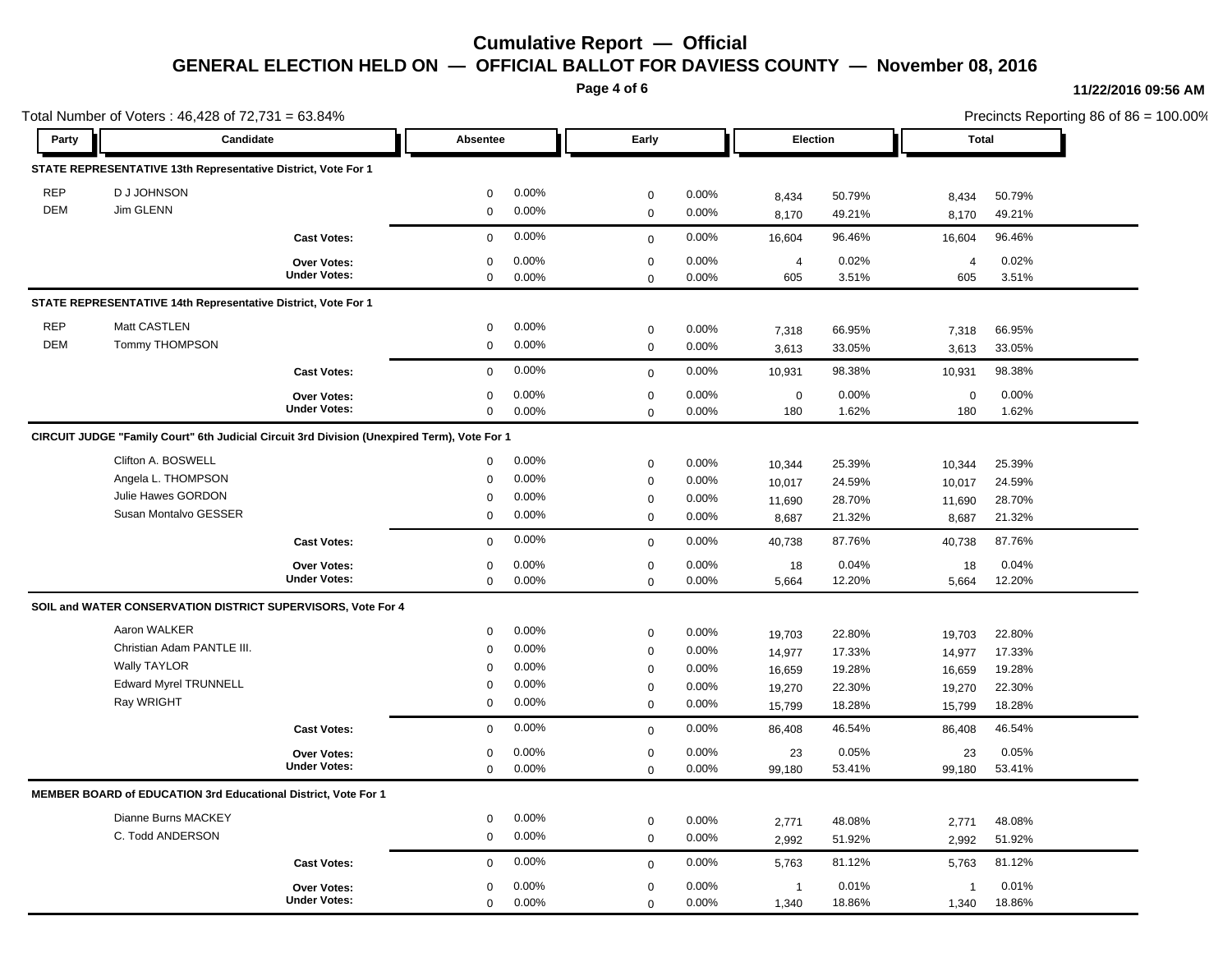**Page 4 of 6**

#### **11/22/2016 09:56 AM**

| Total Number of Voters: 46,428 of 72,731 = 63.84% |                                                                                             |                     |              |                   |              |       |                |        |                | Precincts Reporting 86 of 86 = 100.00% |  |  |
|---------------------------------------------------|---------------------------------------------------------------------------------------------|---------------------|--------------|-------------------|--------------|-------|----------------|--------|----------------|----------------------------------------|--|--|
| Party                                             | Candidate                                                                                   |                     |              | Early<br>Absentee |              |       | Election       |        | <b>Total</b>   |                                        |  |  |
|                                                   | STATE REPRESENTATIVE 13th Representative District, Vote For 1                               |                     |              |                   |              |       |                |        |                |                                        |  |  |
| <b>REP</b>                                        | D J JOHNSON                                                                                 |                     | $\mathbf 0$  | 0.00%             | $\mathbf 0$  | 0.00% | 8,434          | 50.79% | 8,434          | 50.79%                                 |  |  |
| <b>DEM</b>                                        | Jim GLENN                                                                                   |                     | $\mathbf 0$  | 0.00%             | $\mathbf 0$  | 0.00% | 8,170          | 49.21% | 8,170          | 49.21%                                 |  |  |
|                                                   |                                                                                             | <b>Cast Votes:</b>  | $\mathbf 0$  | 0.00%             | $\mathbf 0$  | 0.00% | 16,604         | 96.46% | 16,604         | 96.46%                                 |  |  |
|                                                   |                                                                                             | Over Votes:         | $\mathbf 0$  | 0.00%             | $\mathbf 0$  | 0.00% | $\overline{4}$ | 0.02%  | $\overline{4}$ | 0.02%                                  |  |  |
|                                                   |                                                                                             | <b>Under Votes:</b> | $\mathbf 0$  | 0.00%             | $\mathbf{0}$ | 0.00% | 605            | 3.51%  | 605            | 3.51%                                  |  |  |
|                                                   | STATE REPRESENTATIVE 14th Representative District, Vote For 1                               |                     |              |                   |              |       |                |        |                |                                        |  |  |
| <b>REP</b>                                        | Matt CASTLEN                                                                                |                     | $\mathbf 0$  | 0.00%             | $\mathbf 0$  | 0.00% | 7,318          | 66.95% | 7,318          | 66.95%                                 |  |  |
| <b>DEM</b>                                        | <b>Tommy THOMPSON</b>                                                                       |                     | $\mathbf 0$  | 0.00%             | $\mathsf 0$  | 0.00% | 3,613          | 33.05% | 3,613          | 33.05%                                 |  |  |
|                                                   |                                                                                             | <b>Cast Votes:</b>  | $\mathbf 0$  | 0.00%             | $\mathbf 0$  | 0.00% | 10,931         | 98.38% | 10,931         | 98.38%                                 |  |  |
|                                                   |                                                                                             | <b>Over Votes:</b>  | $\mathbf 0$  | 0.00%             | $\mathbf 0$  | 0.00% | $\mathbf 0$    | 0.00%  | $\mathbf 0$    | 0.00%                                  |  |  |
|                                                   |                                                                                             | <b>Under Votes:</b> | $\mathbf{0}$ | 0.00%             | $\mathbf 0$  | 0.00% | 180            | 1.62%  | 180            | 1.62%                                  |  |  |
|                                                   | CIRCUIT JUDGE "Family Court" 6th Judicial Circuit 3rd Division (Unexpired Term), Vote For 1 |                     |              |                   |              |       |                |        |                |                                        |  |  |
|                                                   | Clifton A. BOSWELL                                                                          |                     | $\mathbf 0$  | 0.00%             | $\mathbf 0$  | 0.00% | 10,344         | 25.39% | 10,344         | 25.39%                                 |  |  |
|                                                   | Angela L. THOMPSON                                                                          |                     | $\mathbf 0$  | 0.00%             | $\mathbf 0$  | 0.00% | 10,017         | 24.59% | 10,017         | 24.59%                                 |  |  |
|                                                   | Julie Hawes GORDON                                                                          |                     | $\mathbf 0$  | 0.00%             | $\mathbf 0$  | 0.00% | 11,690         | 28.70% | 11,690         | 28.70%                                 |  |  |
|                                                   | Susan Montalvo GESSER                                                                       |                     | $\mathbf 0$  | 0.00%             | $\mathbf 0$  | 0.00% | 8,687          | 21.32% | 8,687          | 21.32%                                 |  |  |
|                                                   |                                                                                             | <b>Cast Votes:</b>  | $\mathbf 0$  | 0.00%             | $\mathbf 0$  | 0.00% | 40,738         | 87.76% | 40,738         | 87.76%                                 |  |  |
|                                                   |                                                                                             | Over Votes:         | $\mathbf 0$  | 0.00%             | $\mathbf 0$  | 0.00% | 18             | 0.04%  | 18             | 0.04%                                  |  |  |
|                                                   |                                                                                             | <b>Under Votes:</b> | $\mathbf 0$  | 0.00%             | $\mathbf{0}$ | 0.00% | 5,664          | 12.20% | 5,664          | 12.20%                                 |  |  |
|                                                   | SOIL and WATER CONSERVATION DISTRICT SUPERVISORS, Vote For 4                                |                     |              |                   |              |       |                |        |                |                                        |  |  |
|                                                   | Aaron WALKER                                                                                |                     | $\mathbf 0$  | 0.00%             | $\mathbf 0$  | 0.00% | 19,703         | 22.80% | 19,703         | 22.80%                                 |  |  |
|                                                   | Christian Adam PANTLE III.                                                                  |                     | $\mathbf 0$  | 0.00%             | $\mathbf 0$  | 0.00% | 14,977         | 17.33% | 14,977         | 17.33%                                 |  |  |
|                                                   | <b>Wally TAYLOR</b>                                                                         |                     | $\mathbf 0$  | 0.00%             | $\mathbf 0$  | 0.00% | 16,659         | 19.28% | 16,659         | 19.28%                                 |  |  |
|                                                   | <b>Edward Myrel TRUNNELL</b>                                                                |                     | $\mathbf 0$  | 0.00%             | $\mathbf 0$  | 0.00% | 19,270         | 22.30% | 19,270         | 22.30%                                 |  |  |
|                                                   | Ray WRIGHT                                                                                  |                     | $\mathbf 0$  | 0.00%             | $\mathbf{0}$ | 0.00% | 15,799         | 18.28% | 15,799         | 18.28%                                 |  |  |
|                                                   |                                                                                             | <b>Cast Votes:</b>  | $\mathbf{0}$ | 0.00%             | $\mathbf 0$  | 0.00% | 86,408         | 46.54% | 86,408         | 46.54%                                 |  |  |
|                                                   |                                                                                             | Over Votes:         | $\mathbf 0$  | 0.00%             | $\mathbf 0$  | 0.00% | 23             | 0.05%  | 23             | 0.05%                                  |  |  |
|                                                   |                                                                                             | <b>Under Votes:</b> | $\mathbf 0$  | 0.00%             | $\mathbf 0$  | 0.00% | 99,180         | 53.41% | 99,180         | 53.41%                                 |  |  |
|                                                   | MEMBER BOARD of EDUCATION 3rd Educational District, Vote For 1                              |                     |              |                   |              |       |                |        |                |                                        |  |  |
|                                                   | Dianne Burns MACKEY                                                                         |                     | $\mathbf 0$  | 0.00%             | $\mathbf 0$  | 0.00% | 2,771          | 48.08% | 2,771          | 48.08%                                 |  |  |
|                                                   | C. Todd ANDERSON                                                                            |                     | $\mathbf 0$  | 0.00%             | $\mathbf 0$  | 0.00% | 2,992          | 51.92% | 2,992          | 51.92%                                 |  |  |
|                                                   |                                                                                             | <b>Cast Votes:</b>  | $\mathbf{0}$ | 0.00%             | $\mathbf 0$  | 0.00% | 5,763          | 81.12% | 5,763          | 81.12%                                 |  |  |
|                                                   |                                                                                             | <b>Over Votes:</b>  | $\mathbf 0$  | 0.00%             | $\mathbf 0$  | 0.00% | $\overline{1}$ | 0.01%  | -1             | 0.01%                                  |  |  |
|                                                   |                                                                                             | <b>Under Votes:</b> | $\mathbf 0$  | 0.00%             | $\mathbf 0$  | 0.00% | 1,340          | 18.86% | 1,340          | 18.86%                                 |  |  |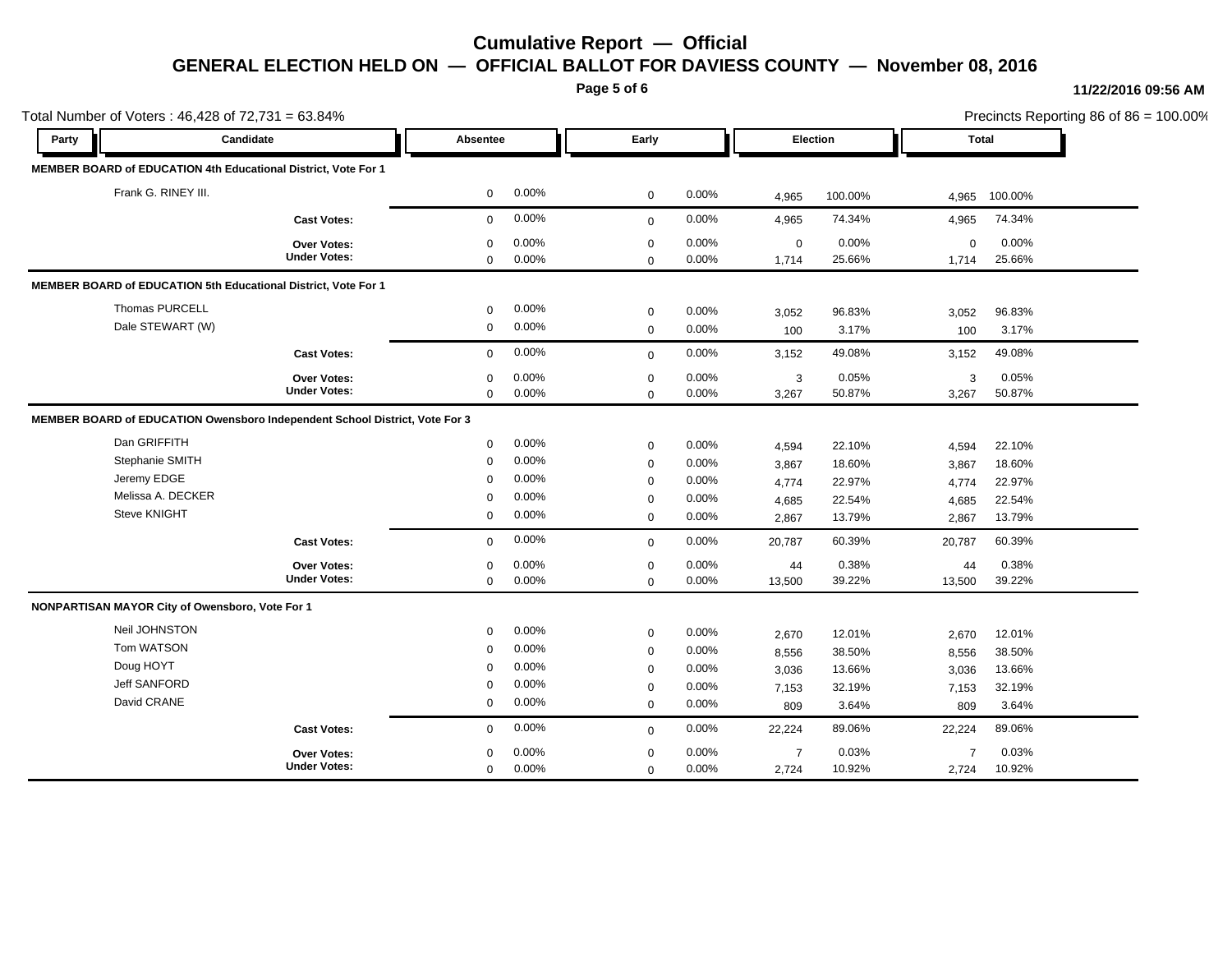**Page 5 of 6**

#### **11/22/2016 09:56 AM**

|                                                 | Total Number of Voters: 46,428 of 72,731 = 63.84%                           |              |          |             |       |                |                 |                | Precincts Reporting 86 of 86 = 100.00% |
|-------------------------------------------------|-----------------------------------------------------------------------------|--------------|----------|-------------|-------|----------------|-----------------|----------------|----------------------------------------|
| Party                                           | Candidate                                                                   |              | Absentee | Early       |       |                | <b>Election</b> | <b>Total</b>   |                                        |
|                                                 | MEMBER BOARD of EDUCATION 4th Educational District, Vote For 1              |              |          |             |       |                |                 |                |                                        |
| Frank G. RINEY III.                             |                                                                             | $\mathbf{0}$ | 0.00%    | $\mathbf 0$ | 0.00% | 4,965          | 100.00%         | 4,965          | 100.00%                                |
|                                                 | <b>Cast Votes:</b>                                                          | $\mathbf 0$  | 0.00%    | $\mathbf 0$ | 0.00% | 4,965          | 74.34%          | 4,965          | 74.34%                                 |
|                                                 | <b>Over Votes:</b>                                                          | $\mathbf 0$  | 0.00%    | $\mathbf 0$ | 0.00% | $\mathbf 0$    | 0.00%           | $\mathbf 0$    | 0.00%                                  |
|                                                 | <b>Under Votes:</b>                                                         | $\Omega$     | 0.00%    | $\Omega$    | 0.00% | 1,714          | 25.66%          | 1,714          | 25.66%                                 |
|                                                 | MEMBER BOARD of EDUCATION 5th Educational District, Vote For 1              |              |          |             |       |                |                 |                |                                        |
| Thomas PURCELL                                  |                                                                             | $\mathbf 0$  | 0.00%    | $\mathbf 0$ | 0.00% | 3,052          | 96.83%          | 3,052          | 96.83%                                 |
| Dale STEWART (W)                                |                                                                             | $\mathbf 0$  | 0.00%    | $\mathbf 0$ | 0.00% | 100            | 3.17%           | 100            | 3.17%                                  |
|                                                 | <b>Cast Votes:</b>                                                          | $\Omega$     | 0.00%    | $\mathbf 0$ | 0.00% | 3,152          | 49.08%          | 3,152          | 49.08%                                 |
|                                                 | <b>Over Votes:</b>                                                          | $\Omega$     | 0.00%    | $\mathbf 0$ | 0.00% | 3              | 0.05%           | 3              | 0.05%                                  |
|                                                 | <b>Under Votes:</b>                                                         | $\mathbf 0$  | 0.00%    | $\mathbf 0$ | 0.00% | 3,267          | 50.87%          | 3,267          | 50.87%                                 |
|                                                 | MEMBER BOARD of EDUCATION Owensboro Independent School District, Vote For 3 |              |          |             |       |                |                 |                |                                        |
| Dan GRIFFITH                                    |                                                                             | $\mathbf 0$  | 0.00%    | $\mathbf 0$ | 0.00% | 4,594          | 22.10%          | 4,594          | 22.10%                                 |
| Stephanie SMITH                                 |                                                                             | $\mathbf 0$  | 0.00%    | $\mathbf 0$ | 0.00% | 3,867          | 18.60%          | 3,867          | 18.60%                                 |
| Jeremy EDGE                                     |                                                                             | $\mathbf 0$  | 0.00%    | 0           | 0.00% | 4,774          | 22.97%          | 4,774          | 22.97%                                 |
| Melissa A. DECKER                               |                                                                             | 0            | 0.00%    | $\mathbf 0$ | 0.00% | 4,685          | 22.54%          | 4,685          | 22.54%                                 |
| <b>Steve KNIGHT</b>                             |                                                                             | $\mathbf 0$  | 0.00%    | $\mathbf 0$ | 0.00% | 2,867          | 13.79%          | 2,867          | 13.79%                                 |
|                                                 | <b>Cast Votes:</b>                                                          | $\mathbf 0$  | 0.00%    | $\mathbf 0$ | 0.00% | 20,787         | 60.39%          | 20,787         | 60.39%                                 |
|                                                 | <b>Over Votes:</b>                                                          | $\Omega$     | 0.00%    | $\mathbf 0$ | 0.00% | 44             | 0.38%           | 44             | 0.38%                                  |
|                                                 | <b>Under Votes:</b>                                                         | $\mathbf 0$  | 0.00%    | $\Omega$    | 0.00% | 13,500         | 39.22%          | 13,500         | 39.22%                                 |
| NONPARTISAN MAYOR City of Owensboro, Vote For 1 |                                                                             |              |          |             |       |                |                 |                |                                        |
| Neil JOHNSTON                                   |                                                                             | $\mathbf 0$  | 0.00%    | $\mathbf 0$ | 0.00% | 2,670          | 12.01%          | 2,670          | 12.01%                                 |
| Tom WATSON                                      |                                                                             | $\mathbf 0$  | 0.00%    | $\mathbf 0$ | 0.00% | 8,556          | 38.50%          | 8,556          | 38.50%                                 |
| Doug HOYT                                       |                                                                             | $\mathbf 0$  | 0.00%    | $\mathbf 0$ | 0.00% | 3,036          | 13.66%          | 3,036          | 13.66%                                 |
| <b>Jeff SANFORD</b>                             |                                                                             | $\mathbf 0$  | 0.00%    | $\mathbf 0$ | 0.00% | 7,153          | 32.19%          | 7,153          | 32.19%                                 |
| David CRANE                                     |                                                                             | $\mathbf 0$  | 0.00%    | $\mathbf 0$ | 0.00% | 809            | 3.64%           | 809            | 3.64%                                  |
|                                                 | <b>Cast Votes:</b>                                                          | $\mathbf 0$  | 0.00%    | $\mathbf 0$ | 0.00% | 22,224         | 89.06%          | 22,224         | 89.06%                                 |
|                                                 | <b>Over Votes:</b>                                                          | $\mathbf 0$  | 0.00%    | $\mathbf 0$ | 0.00% | $\overline{7}$ | 0.03%           | $\overline{7}$ | 0.03%                                  |
|                                                 | <b>Under Votes:</b>                                                         | $\mathbf 0$  | 0.00%    | $\mathbf 0$ | 0.00% | 2,724          | 10.92%          | 2,724          | 10.92%                                 |